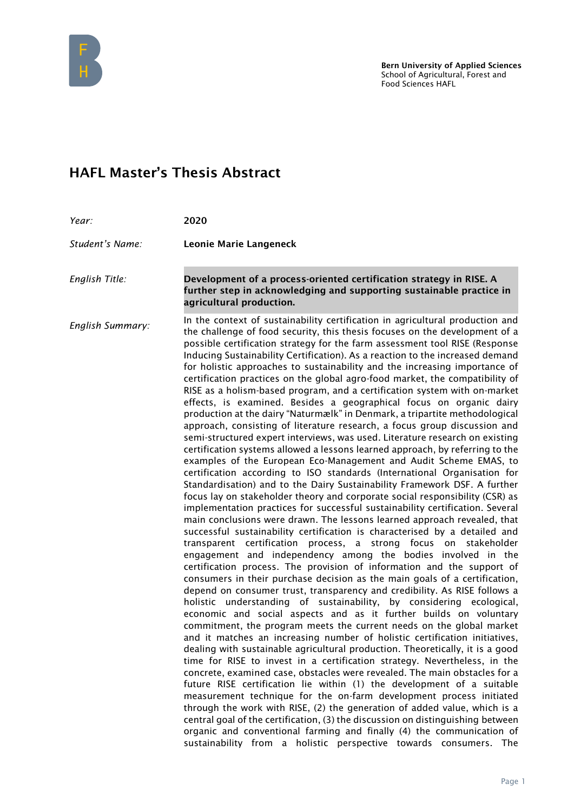

## HAFL Master's Thesis Abstract

| Year:            | 2020                                                                                                                                                                                                                                                                                                                                                                                                                                                                                                                                                                                                                                                                                                                                                                                                                                                                                                                                                                                                                                                                                                                                                                                                                                                                                                                                                                                                                                                                                                                                                                                                                                                                                                                                                                                                                                                                                                                                                                                                                                                                                                                                                                                                                                                                                                                                                                                                                                                                                                                                                                                                                                                                                                                                                                                                                                                                                                                        |
|------------------|-----------------------------------------------------------------------------------------------------------------------------------------------------------------------------------------------------------------------------------------------------------------------------------------------------------------------------------------------------------------------------------------------------------------------------------------------------------------------------------------------------------------------------------------------------------------------------------------------------------------------------------------------------------------------------------------------------------------------------------------------------------------------------------------------------------------------------------------------------------------------------------------------------------------------------------------------------------------------------------------------------------------------------------------------------------------------------------------------------------------------------------------------------------------------------------------------------------------------------------------------------------------------------------------------------------------------------------------------------------------------------------------------------------------------------------------------------------------------------------------------------------------------------------------------------------------------------------------------------------------------------------------------------------------------------------------------------------------------------------------------------------------------------------------------------------------------------------------------------------------------------------------------------------------------------------------------------------------------------------------------------------------------------------------------------------------------------------------------------------------------------------------------------------------------------------------------------------------------------------------------------------------------------------------------------------------------------------------------------------------------------------------------------------------------------------------------------------------------------------------------------------------------------------------------------------------------------------------------------------------------------------------------------------------------------------------------------------------------------------------------------------------------------------------------------------------------------------------------------------------------------------------------------------------------------|
| Student's Name:  | Leonie Marie Langeneck                                                                                                                                                                                                                                                                                                                                                                                                                                                                                                                                                                                                                                                                                                                                                                                                                                                                                                                                                                                                                                                                                                                                                                                                                                                                                                                                                                                                                                                                                                                                                                                                                                                                                                                                                                                                                                                                                                                                                                                                                                                                                                                                                                                                                                                                                                                                                                                                                                                                                                                                                                                                                                                                                                                                                                                                                                                                                                      |
| English Title:   | Development of a process-oriented certification strategy in RISE. A<br>further step in acknowledging and supporting sustainable practice in<br>agricultural production.                                                                                                                                                                                                                                                                                                                                                                                                                                                                                                                                                                                                                                                                                                                                                                                                                                                                                                                                                                                                                                                                                                                                                                                                                                                                                                                                                                                                                                                                                                                                                                                                                                                                                                                                                                                                                                                                                                                                                                                                                                                                                                                                                                                                                                                                                                                                                                                                                                                                                                                                                                                                                                                                                                                                                     |
| English Summary: | In the context of sustainability certification in agricultural production and<br>the challenge of food security, this thesis focuses on the development of a<br>possible certification strategy for the farm assessment tool RISE (Response<br>Inducing Sustainability Certification). As a reaction to the increased demand<br>for holistic approaches to sustainability and the increasing importance of<br>certification practices on the global agro-food market, the compatibility of<br>RISE as a holism-based program, and a certification system with on-market<br>effects, is examined. Besides a geographical focus on organic dairy<br>production at the dairy "Naturmælk" in Denmark, a tripartite methodological<br>approach, consisting of literature research, a focus group discussion and<br>semi-structured expert interviews, was used. Literature research on existing<br>certification systems allowed a lessons learned approach, by referring to the<br>examples of the European Eco-Management and Audit Scheme EMAS, to<br>certification according to ISO standards (International Organisation for<br>Standardisation) and to the Dairy Sustainability Framework DSF. A further<br>focus lay on stakeholder theory and corporate social responsibility (CSR) as<br>implementation practices for successful sustainability certification. Several<br>main conclusions were drawn. The lessons learned approach revealed, that<br>successful sustainability certification is characterised by a detailed and<br>transparent certification process, a strong focus on stakeholder<br>engagement and independency among the bodies involved in the<br>certification process. The provision of information and the support of<br>consumers in their purchase decision as the main goals of a certification,<br>depend on consumer trust, transparency and credibility. As RISE follows a<br>holistic understanding of sustainability, by considering ecological,<br>economic and social aspects and as it further builds on voluntary<br>commitment, the program meets the current needs on the global market<br>and it matches an increasing number of holistic certification initiatives,<br>dealing with sustainable agricultural production. Theoretically, it is a good<br>time for RISE to invest in a certification strategy. Nevertheless, in the<br>concrete, examined case, obstacles were revealed. The main obstacles for a<br>future RISE certification lie within (1) the development of a suitable<br>measurement technique for the on-farm development process initiated<br>through the work with RISE, (2) the generation of added value, which is a<br>central goal of the certification, (3) the discussion on distinguishing between<br>organic and conventional farming and finally (4) the communication of<br>sustainability from a holistic perspective towards consumers. The |